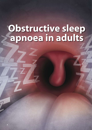# **Obstructive sleep apnoea in adults**

**6**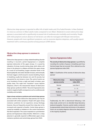*Obstructive sleep apnoea is reported to affect 4% of adult males and 2% of adult females. In New Zealand, it is twice as common in Māori adults males compared to non-Māori. Moderate to severe obstructive sleep apnoea is associated with a significantly increased risk of cardiovascular morbidity and mortality. People with mild symptoms and an absence of risk factors can often be managed with lifestyle interventions. However, people with more significant symptoms, such as excessive daytime sleepiness, will usually require treatment with a continuous positive airway pressure (CPAP) device.* 

# **Obstructive sleep apnoea is common in adults**

Obstructive sleep apnoea is a sleep-related breathing disorder resulting in recurrent, partial (hypopnoea) or complete (apnoea) obstruction of the upper airways. It is caused by relaxation of airway muscles during sleep which allows soft tissue in the pharynx to collapse and block the upper airway. As a result of not breathing, oxygen saturation levels in the blood rapidly fall, and carbon dioxide increases, and eventually the brain triggers a brief arousal to resume breathing. Pauses in breathing usually last between ten and 30 seconds, but may persist for one minute or more. This cycle of events can occur hundreds of times a night and leads to broken, poor quality sleep. This night time "marathon" causes daytime sleepiness, which is the characteristic feature of obstructive sleep apnoea syndrome (OSAS).<sup>1</sup> Recurrent hypoxaemia also results in negative health consequences such as cardiovascular morbidity and mortality.

**Upper airway resistance syndrome and central sleep apnoea** are less common than obstructive sleep apnoea, but may be associated with similar symptoms. People with upper airway resistance syndrome do not experience airway blockage, however, they are frequently aroused from sleep due to the increased work required to breathe. Central sleep apnoea is caused by instability or imbalance in the control mechanisms that drive respiration. This causes respiration to cycle between apnoea and hyperpnoea (deep breaths). Referral to a sleep physician is generally required to differentiate upper airway resistance syndrome and central sleep apnoea from OSAS.

# **Apnoea-hypopnoea index**

**The severity of obstructive sleep apnoea** is quantified by recording the number of pauses in breathing each hour that last longer than ten seconds. This is referred to as the apnoea-hypopnoea index (AHI).

**Table 1:** Classification of the severity of obstructive sleep apnoea<sup>2</sup>

| <b>Obstructive sleep</b><br>apnoea severity | Apnoea-hypopnoea<br>index (AHI) |  |  |  |
|---------------------------------------------|---------------------------------|--|--|--|
| Normal                                      | Less than 5                     |  |  |  |
| Mild                                        | $5 - 15$                        |  |  |  |
| Moderate                                    | $16 - 30$                       |  |  |  |
| Severe                                      | > 30                            |  |  |  |

Traditionally, the AHI is determined following a full sleep study carried out in an attended sleep laboratory (polysomnography). However, partial studies conducted by appropriately trained sleep technicians in the patient's home can accurately diagnose obstructive sleep apnoea in the majority of patients.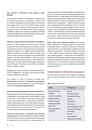## **How common is obstructive sleep apnoea in New Zealand?**

The prevalence of OSAS in New Zealand is reported to be 4% in adult males and 2% in adult females.<sup>1</sup> However, rates are elevated among Māori and Pacific peoples. Obstructive sleep apnoea is twice as common in Māori males compared to non-Māori males.<sup>3</sup> Māori and Pacific peoples also tend to present with more severe forms of OSAS and increased comorbidities.<sup>3</sup> Higher rates of obesity among Māori and Pacific peoples is thought to be the principle reason for the increased prevalence of OSAS in these ethnic groups.4

#### **Obesity is a major risk factor for obstructive sleep apnoea**

Between 40 – 90% of people with OSAS are obese.<sup>2,5</sup> Obesity increases the risk of OSAS because excess fat tissue around the neck exerts pressure on the upper airways, increasing the likelihood of upper airway collapse occurring during sleep.<sup>3</sup> Abdominal obesity has also been shown to reduce lung volumes, which can further increase the risk of upper airway collapse.<sup>6</sup> It has been estimated that a 1 kg/m<sup>2</sup> increase in BMI in a person who is obese, results in a 30% increase in the relative risk of clinically significant sleep apnoea occurring in the next four years.7 Sleep loss caused by OSAS is also likely to further contribute to obesity.

**Smoking** is also associated with an increased prevalence of OSAS, and **alcohol** use can increase sleep apnoea duration, possibly by reducing muscle tone.<sup>2</sup>

The incidence of OSAS is increased in people with **hypothyroidism** and females with **polycystic ovary syndrome**. The severity of untreated sleep apnoea may be worsened in males using **testosterone supplementation**.

#### **Severe obstructive sleep apnoea increases mortality risk**

Moderate to severe obstructive sleep apnoea is independently associated with an increased risk of all-cause mortality. A study of more than 77 000 patients found that increasing OSAS severity was associated with increasing all-cause mortality in patients aged younger than 50 years, after adjustments were made for BMI and age.<sup>8</sup> This elevated risk has been estimated to be equivalent to an increase in age of 17.5 years or a 29 mmHg increase in mean arterial blood pressure.<sup>9</sup>

**Obstructive sleep apnoea is associated with increased cardiovascular risk.** A predominant feature of OSAS is chronic, intermittent hypoxia, which is associated with the development of hypertension and hypertensive cardiomyopathy. Coexisting coronary artery disease, diabetes and obesity add to this risk.10 A large study found that, following adjustment for known risk factors, e.g. BMI, people with mild and moderate obstructive sleep apnoea had an approximately two and threefold respectively, increased risk of hypertension compared to people without sleep apnoea.<sup>11</sup> Treatment of OSAS in people with severe disease has been reported to result in a reduction in arterial blood pressure of approximately 4 mmHg, and may improve some cardiac dysfunction, although further trials are needed.10, 12 Insulin resistance and abnormal lipid metabolism have also been independently associated with obstructive sleep apnoea.<sup>5</sup> Both of these factors are likely to further increase the cardiovascular risk of people with OSAS.<sup>5</sup>

**Motor vehicle and occupational accidents** are increased in people with OSAS due to impaired cognitive function caused by disrupted sleep. A study of over 900 adults undergoing sleep assessment in the United States found that males with mild sleep apnoea had a four-fold increased risk of having a motor vehicle accident compared to people without a sleep-breathing disorder.<sup>13</sup> A small study of 40 injured drivers admitted to the Wellington Hospital Emergency Department (mean age 44 years) found that over one-third had obstructive sleep apnoea.<sup>14</sup> The rate of traffic accidents involving people with OSAS has been reported to be significantly reduced after treatment for OSAS.12

## **Clinical features of obstructive sleep apnoea**

The clinical features of OSAS can be divided into symptoms that occur when the patient is either awake or asleep (Table 2).

#### **Table 2:** Symptoms of OSAS

| Awake                 | During sleep            |
|-----------------------|-------------------------|
| Excessive day time    | Snoring                 |
| sleepiness            | Witnessed apnoeas       |
| Lack of concentration | Non-refreshing sleep    |
| Cognitive deficits    | Choking                 |
| Changes in mood       | Restlessness            |
| Morning headaches     | Vivid dreams            |
| Dry mouth             | Gastroesophageal reflux |
| Decreased libido or   | Insomnia and frequent   |
| impotence             | awakenings              |
|                       | Nocturia                |
|                       | <b>Hypersalivation</b>  |
|                       | Diaphoresis (sweating)  |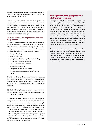**Generally all people with obstructive sleep apnoea snore**. 2 But not all people who snore have sleep apnoea (see "Snoring alone is not a good predictor").

**Excessive daytime sleepiness and witnessed apnoeas** are the symptoms most suggestive of obstructive sleep apnoea. Partners who have witnessed apnoeas report a sudden halt to snoring followed by a loud snort and resumption of snoring.<sup>2</sup> Sleep apnoeas are more commonly reported by the partners of males.<sup>2</sup> Females with obstructive sleep apnoea often report constant fatigue and lack of energy.2

# **Assessment tools for suspected obstructive sleep apnoea**

**The Epworth Sleepiness Score (ESS)** is a subjective assessment of daytime sleepiness. It is recommended that this score is calculated prior to referral for sleep testing. Patients are asked to assign a numerical value to each of the following situations to indicate the likelihood that they might fall asleep:

- 1. Sitting and reading
- 2. Watching television
- 3. Sitting in a public place, e.g. a theatre or meeting
- 4. As a passenger in a car for an hour
- 5. Lying down to rest in the afternoon
- 6. Sitting while conversing
- 7. Sitting after lunch (without alcohol)
- 8. As a passenger in a car stopped in traffic for a few minutes

**Score:**  $0 =$  would never sleep,  $1 =$  a slight chance of sleeping,  $2 = a$  moderate chance of sleeping,  $3 = a$  high chance of sleeping. A total score greater than ten is considered abnormal and a score greater than 16 indicates pathological daytime sleepiness.

 $\mathbb Z$  The British Lung Foundation has an online version of the Epworth Sleepiness Score available at: **www.blf.org.uk/Page/ Obstructive-Sleep-Apnoea**

**The Mallampati score** can be used to assess the degree of airway obstruction. Decreased upper airway size is associated with increased sleep apnoea prevalence and is more likely in people who are obese or who have anatomical abnormalities such as a large tongue, or enlarged tonsils, airway walls or soft tissue.<sup>5</sup> To determine the Mallampati score, ask the patient to protrude their tongue, assess the visibility of the tonsils, uvula and soft palate and classify according to the degree of obstruction (Figure 1). A Mallampati score of class III or IV is useful for predicting obstructive sleep apnoea severity due to soft palate and tongue abnormalities.<sup>17</sup>

## **Snoring alone is not a good predictor of obstructive sleep apnoea**

Snoring is caused by the vibration of the soft palate and throat during inspiration. It affects between 20 – 60% of the adult population, and is a frequent cause of relationship strain.15 However, because snoring is so common among otherwise healthy people, it is not a good predictor of OSAS. Snoring may also be associated with obesity, nasal congestion, craniofacial abnormalities, hypothyroidism, acromegaly and soft tissue hypertrophy within the palate. Severe snoring has been linked to hypertension, cardiovascular disease and cerebrovascular disease. However, it is not known if snoring itself is an independent risk factor for cardiovascular disease.

Snoring can often be reduced with lifestyle interventions, such as weight reduction (if overweight), avoiding alcohol, smoking and avoiding sleeping on the back. If lifestyle measures such as these do not result in reduced snoring, oral appliances such as a mandibular splint or assessment for surgical tightening of the soft palate may be considered.<sup>16</sup>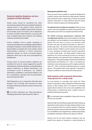# **Excessive daytime sleepiness can be a symptom of other disorders**

Simple causes should be considered first when encountering a patient with excessive daytime sleepiness. Lifestyle factors in the patient's history should be explored to uncover insufficient sleep, primary insomnia and secondary causes of insomnia, such as depression or anxiety. Circadian rhythm disorders, e.g. jet lag, shift work or delayed sleep phase syndrome, and sedating medicines should also be excluded.

Chronic conditions such as cardiac, respiratory or neuromuscular diseases can cause fatigue, hypoventilation and daytime sleepiness. Carbon dioxide retention due to hypoventilation associated with severe obesity, central hypoventilation syndrome, or chronic obstructive pulmonary disease can result in increased daytime sleepiness, which may or may not be accompanied by breathlessness.

Unusual causes of excessive daytime sleepiness are considered last and are usually suggested by specific clinical features. Endocrine disorders, e.g. hypothyroidism, adrenal insufficiency or diabetic ketoacidosis, and neurological causes of drowsiness, e.g. subdural haematoma, encephalitis or intracranial neoplasm, may be a consideration, especially when the presentation does not fit well with OSAS.

OSAS frequently occurs in conjunction with other sleep disorders such as periodic limb movement of sleep (including restless leg syndrome), primary insomnia and narcolepsy.

 $\mathbb{G}$  For further information see: "Sleep disturbances: managing parasomnias in general practice" Page 16.

#### **Sleep apnoea prediction tools**

There are several tools available to stratify the likelihood of a patient having severe obstructive sleep apnoea. However, these should be used as a guide only, as they do not provide sufficient information to make definitive decisions about referral or treatment urgency for individual patients.

**The adjusted neck circumference calculation** (Table 3) can be used to assess the probability of a patient having obstructive sleep apnoea, but it does not categorise potential severity.

**The OSA50 screening questionnaire combined with overnight pulse oximetry** can be used in patients in a primary care setting to rule out moderate to severe obstructive sleep apnoea. This tool relies on access to an electronic pulse oximeter with data recording functionality (or referral to a private sleep clinic). The process involves asking the patient specific questions (Table 4), and for patients who score five or more, arranging overnight pulse oximetry (equivalent to a level IV sleep study – see "Sleep studies"). Patients who experience 16 or more occurrences per hour of a 3% drop in oxygen saturation, are suspected to have moderate to severe sleep apnoea.<sup>19</sup> The positive predictive value for the OSA50 tool (questionnaire and oximetry) is 55 – 65%, i.e. the patient has moderate to severe sleep apnoea, and the negative predictive value is 97 – 99%, i.e. they have mild sleep apnoea or no sleep apnoea.<sup>19</sup> The greatest value of this approach is therefore in ruling out moderate to severe obstructive sleep apnoea.<sup>19</sup>

## **Refer patients with suspected obstructive sleep apnoea for a sleep study**

For most patients, an overnight sleep study (see "Sleep studies") is required to confirm a diagnosis of obstructive sleep apnoea. In New Zealand, there is an absence of nationally agreed referral criteria for this service and availability is the limiting factor in determining when a patient receives a publicly funded sleep assessment.

 $\mathscr{P}$  For information about availability of sleep clinic services, contact your local DHB.

Patients at high-risk should be promptly referred for testing, e.g. sleepy drivers with a history of a sleep-related accident or nearmiss, occupational drivers or machine operators. Sleepiness should be assessed using the Epworth Sleepiness Score (Page 9). Co-morbidities such as hypertension, cardiovascular disease and diabetes should also influence the urgency of referral.

Patients who do not report daytime sleepiness may not benefit from referral as treatment is aimed primarily at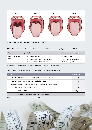

**Figure 1:** The Mallampati classification for airway obstruction

|  |  | Table 3: Adjusted neck circumference calculation to assess probability of sleep apnoea, adapted from Skjodt, 2008 <sup>18</sup> |  |  |  |  |  |
|--|--|---------------------------------------------------------------------------------------------------------------------------------|--|--|--|--|--|
|--|--|---------------------------------------------------------------------------------------------------------------------------------|--|--|--|--|--|

| <b>Measure</b>     | Add                                   | $=$ Adjusted neck circumference <sup>*</sup>     |
|--------------------|---------------------------------------|--------------------------------------------------|
| Neck circumference | 3 cm for snoring history              | $\leq$ 43 cm is low risk                         |
| in cm              | 3 cm for history of witnessed apnoeas | $\blacksquare$ 43 – 47.9 cm is intermediate risk |
|                    | ■ 4 cm for history of hypertension    | $\geq 48$ cm is high risk                        |

\* Low risk equals a 17% probability of sleep apnoea. High risk equals 81% probability of sleep apnoea.

### Table 4: OSA50 screening questionnaire for moderate to severe obstructive sleep apnoea<sup>19</sup>

| <b>Criteria</b> |                                                                                  | If yes, SCORE |
|-----------------|----------------------------------------------------------------------------------|---------------|
|                 | <b>Obesity:</b> Waist circumference <sup>*</sup> – Males >102cm or Females >88cm |               |
| Snoring:        | Has your snoring ever bothered other people?                                     | 3             |
| Apnoeas:        | Has anyone noticed that you stop breathing during your sleep?                    |               |
|                 | 50: Are you aged 50 years or over?                                               | $\mathcal{P}$ |
|                 | <b>TOTAL SCORE</b>                                                               | $/10$ points  |
|                 | If score $=$ $\geq$ 5, proceed to overnight pulse oximetry                       |               |

\* Waist circumference to be measured at the level of the umbilicus

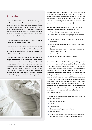## **Sleep studies**

**Level I studies**, referred to as polysomanography, are performed in a sleep laboratory with a technician present and are the diagnostic gold standard. These studies include monitoring and recording of EEG (electroencephalography), EOG (electro-oculography), EMG (electromyography), heart rate, blood oxygenation, nasal flow, thoracic and abdominal movement, limb movements and body position.

**Level II studies** are unattended sleep studies recording the same parameters as Level I studies.

**Level III studies** record airflow, respiratory effort, blood oxygenation and heart rate. This level should be regarded as the minimum standard when diagnosing patients with obstructive sleep apnoea.

**Level IV studies** record two parameters, typically blood oxygenation and heart rate. Some level IV studies also record nasal flow. This level of sleep study should be used with caution as oximetry only detects apnoea-hyponoea episodes leading to oxygen desaturation and are not sensitive enough to detect some instances of obstructive sleep apnoea, e.g. mild sleep apnoea. For this reason a negative result will usually require a higher level study if obstructed sleep apnoea continues to be suspected.



improving daytime symptoms. Treatment of OSAS is usually with continuous positive airway pressure (CPAP), which is often poorly tolerated by people without significant daytime sleepiness.12 Daytime sleepiness due to insufficient sleep should be excluded prior to referral (see: "Consider the presence of other sleep disorders", Page 10).

**Additional referral information** that is likely to be required to receive a publicly funded sleep assessment includes:

- Patient history, e.g. snoring, witnessed apnoeas
- Details of any previous otolaryngological assessments or procedures
- Co-morbidities, including cardiovascular, metabolic and psychiatric
- Social circumstances, including any current psychosocial stressors
- Occupational risk, especially if sleepiness is threatening the patient's employment
- Current medicines
- **BMI and history of any recent weight change**

**Private sleep clinics and/or home-based partial sleep studies** are an alternative to referral to specialist sleep laboratories where there are significant service delays. In New Zealand some private clinics are resourced by respiratory physicians. However, considerable debate exists about the validity of portable testing for the diagnosis of OSAS, compared with testing in dedicated sleep clinics. The diagnostic value of private studies is dependent on the variables that are measured. The 2007 American Academy of Sleep Medicine guidelines recommend level III sleep studies (see "Sleep studies") as a diagnostic minimum.20 It is important for clinicians referring to private services to be aware of the level of sleep study used. Interpretation of the results from home-based partial sleep studies should be undertaken with the full clinical context of the individual patient.

Suggested contraindications to unattended home diagnostic sleep studies include:<sup>18</sup>

- Congestive heart failure
- **Stroke**
- Cor pulmonale
- **Chronic obstructive pulmonary disease**
- **Hypoventilation**
- Other serious medical disorders, e.g. seizures, psychosis, valvular heart disease, asthma, kidney or liver failure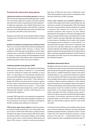## **Treatment for obstructive sleep apnoea**

**Lifestyle interventions are the simplest approach** to reducing OSAS severity and improving other health parameters. Studies have shown that weight loss in patients with mild, moderate and severe OSAS results in improvements in OSAS symptoms.<sup>21</sup> A weight loss programme and a healthy lifestyle alone may provide clinical benefit for patients with mild OSAS. In patients with more severe OSAS, life style interventions should be used in conjunction with CPAP or other interventions.

All patients with OSAS who smoke should be offered smoking cessation advice in the ABC format (Ask, Brief advice, Cessation support).

**Avoidance of medicines or drugs that may contribute to OSAS**.

There is no conclusive evidence that alcohol, benzodiazepines or opioids exacerbate OSAS. However, in theory, these substances could relax upper airway dilatory muscles, reduce ventilator drive or diminish the likelihood of arousing from an apnoea. If required, opioids and benzodiazepines should be prescribed at the lowest effective dose. Alcohol should be avoided, especially in the few hours prior to bedtime.

#### **Continuous positive airway pressure (CPAP)**

CPAP treatment is reported to be 100% effective at eliminating obstructive sleep apnoea, if tolerated. It is recommended as first-line treatment for people with moderate or severe OSAS.12 A meta-analysis of 23 randomised controlled trials found that CPAP significantly reduced daytime sleepiness in patients with moderate or severe OSAS.12 CPAP treatment in people with OSAS has also been found to improve cognitive function, reduce arterial blood pressure and reduce the rate of motor vehicle accidents by up to 83%.12, 22 Some studies have demonstrated improved glycaemic control in patients following CPAP initiation.23 However, CPAP treatment is not associated with weight loss.<sup>21</sup>

Generally, CPAP treatment is not considered to be appropriate for people with milder OSAS without significant symptoms, as the inconvenience of the device is thought to outweigh the benefits, resulting in poor adherence to treatment.<sup>12</sup>

**CPAP prevents upper airway collapse** by delivering positive air pressure through a mask which is worn during sleep. There are two forms of CPAP; fixed CPAP delivers constant pressure throughout the night, and auto-titrating CPAP devices adjust the pressure delivery as the patient breathes. Auto-titrating devices can be used to monitor treatment effectiveness and titrate CPAP pressure in patients commencing treatment. Both forms of CPAP have been shown to effectively control OSAS. Patient preference and economic considerations often determine which form of CPAP is provided.

**Correct mask selection and treatment adherence** are essential. Many patients find masks uncomfortable and may experience a sensation of claustrophobia. CPAP mask leakage can result in treatment failure. Patients should be encouraged to persevere with treatment for at least four weeks, as treatment acceptance often improves over time. Patients should also be encouraged to use the device throughout their sleep as increased treatment time is associated with increased benefit.24 Patients may report difficulties with adherence due to nasal dryness or bleeding, throat irritation, skin irritation, local sweating, pressure intolerance or a poor mask fit.<sup>12</sup> It is essential that the operation of the device is understood, and any issues that may affect adherence are addressed. CPAP machines with built-in humidifiers and the use of silicon gels or plasters and facial shaving may alleviate some of these adverse effects. It has been reported that adherence to CPAP treatment among Māori with OSAS may be less than adherence among New Zealand Europeans.25

#### **Mandibular advancement devices**

Mandibular advancement devices can prevent sleep apnoeas by widening the upper airway and pushing the pharyngeal fat pads laterally and moving the tongue base muscles anteriorly. These may be a suitable treatment for patients with mild to moderate disease, or as a second-line treatment for patients who cannot tolerate CPAP. There are many types of mandibular device available. Adverse effects, including teeth and jaw pain, are likely to influence treatment adherence. A New Zealand study assessing the use of a mandibular advancement splint in 18 males and one female, with varying severities of obstructive sleep apnoea, found that treatment resulted in significant improvements in the apnoea-hypopnoea index and other indices associated with OSAS, including snoring volume.<sup>26</sup> However, the device was poorly tolerated with approximately one-quarter of participants reporting that adverse effects prevented regular use of the device.<sup>26</sup> In general, mandibular splints can only be fitted in patients with all or most of their own teeth.

A Cochrane review found that use of a mandibular advancement device improved subjective sleepiness and sleep disordered breathing in people with OSAS, compared to control.<sup>27</sup> Several studies have also reported significant decreases in blood pressure in the order of 2 – 3 mmHg following four to ten weeks of treatment with a mandibular advancement device.<sup>28</sup>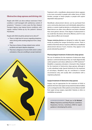# **Obstructive sleep apnoea and driving risk**

People with OSAS can drive without restriction if their condition is well-managed with satisfactory control of symptoms.31 However, in some cases the New Zealand Transport Agency may impose licence conditions, with regular medical follow-up by the patient's General Practitioner.

People with OSAS should be advised not to drive if:<sup>31</sup>

- There is a high level of concern regarding sleepiness when driving while awaiting diagnosis from a sleep study
- They have a history of sleep-related motor vehicle accidents and report daytime sleepiness
- They have a diagnosis of severe OSAS which is either untreated, or they are unwilling to accept treatment

Treatment with a mandibular advancement device appears to be more successful in people with milder forms of OSAS, females, younger or leaner people, or people with supinedependent sleep apnoea.<sup>28</sup>

Mandibular advancement devices can be purchased from some community pharmacies and individually adjusted by a dentist, or custom-made by dentists or orthodontists. Customfitted devices are often more effective and better tolerated than more generic devices. If the degree of advancement is too small then the device will not be effective, and if it is too large, adverse effects are increased.

**Tongue-retaining devices** are designed to widen the upper airway by pulling the tongue forward by suction. There is evidence that these devices may be as effective as mandibular advancement devices if worn, however, they appear to be poorly tolerated by patients.29

#### **Pharmacological treatment of obstructive sleep apnoea**

The use of medicines for the treatment of obstructive sleep apnoea is controversial because they can mask diagnostically useful symptoms and reduce adherence to CPAP treatment.<sup>30</sup> Modafinil, a respiratory stimulant, is licensed in New Zealand for the treatment of obstructive sleep apnoea, although it is only subsidised under Special Authority for the treatment of narcolepsy. Modafinil may be considered in limited circumstances only, and usually after consultation with a respiratory physician.

#### **Surgical treatment of obstructive sleep apnoea**

Surgery may be appropriate for the treatment of OSAS in patients who have clear upper airway anatomical abnormalities, such as enlarged tonsils. Other patients are less likely to benefit from upper airway surgery, especially if obesity or other comorbidities are present.

**ACKNOWLEDGEMENT:** Thank you to **Dr Michael Hlavac**, Respiratory and Sleep Physician, Canterbury Respiratory Services, Canterbury DHB for expert guidance in developing this article.